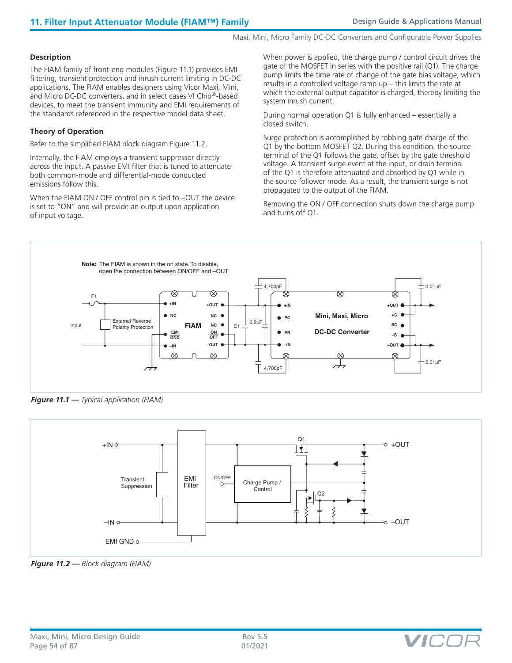Maxi, Mini, Micro Family DC-DC Converters and Configurable Power Supplies

## **Description**

The FIAM family of front-end modules (Figure 11.1) provides EMI filtering, transient protection and inrush current limiting in DC-DC applications. The FIAM enables designers using Vicor Maxi, Mini, and Micro DC-DC converters, and in select cases VI Chip®-based devices, to meet the transient immunity and EMI requirements of the standards referenced in the respective model data sheet.

## **Theory of Operation**

Refer to the simplified FIAM block diagram Figure 11.2.

Internally, the FIAM employs a transient suppressor directly across the input. A passive EMI filter that is tuned to attenuate both common-mode and differential-mode conducted emissions follow this.

When the FIAM ON / OFF control pin is tied to -OUT the device is set to "ON" and will provide an output upon application of input voltage.

When power is applied, the charge pump / control circuit drives the gate of the MOSFET in series with the positive rail (Q1). The charge pump limits the time rate of change of the gate bias voltage, which results in a controlled voltage ramp up – this limits the rate at which the external output capacitor is charged, thereby limiting the system inrush current.

During normal operation Q1 is fully enhanced – essentially a closed switch.

Surge protection is accomplished by robbing gate charge of the Q1 by the bottom MOSFET Q2. During this condition, the source terminal of the Q1 follows the gate, offset by the gate threshold voltage. A transient surge event at the input, or drain terminal of the Q1 is therefore attenuated and absorbed by Q1 while in the source follower mode. As a result, the transient surge is not propagated to the output of the FIAM.

Removing the ON / OFF connection shuts down the charge pump and turns off Q1.



*Figure 11.1 — Typical application (FIAM)*



*Figure 11.2 — Block diagram (FIAM)*

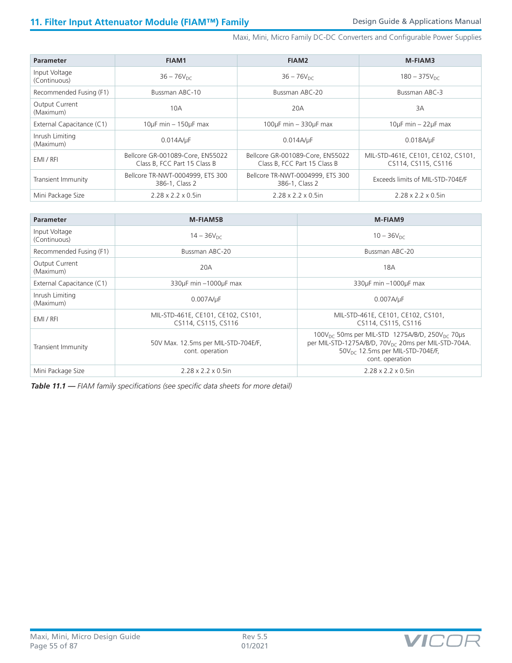Maxi, Mini, Micro Family DC-DC Converters and Configurable Power Supplies

| <b>Parameter</b>                   | <b>FIAM1</b>                                                     | FIAM2                                                            | M-FIAM3                                                   |
|------------------------------------|------------------------------------------------------------------|------------------------------------------------------------------|-----------------------------------------------------------|
| Input Voltage<br>(Continuous)      | $36 - 76V_{DC}$                                                  | $36 - 76V_{DC}$                                                  | $180 - 375V_{\text{DC}}$                                  |
| Recommended Fusing (F1)            | Bussman ABC-10                                                   | Bussman ABC-20                                                   | Bussman ABC-3                                             |
| <b>Output Current</b><br>(Maximum) | 10A                                                              | 20A                                                              | 3A                                                        |
| External Capacitance (C1)          | $10\mu$ F min $-150\mu$ F max                                    | $100\mu$ F min - 330 $\mu$ F max                                 | $10\mu$ F min $-22\mu$ F max                              |
| Inrush Limiting<br>(Maximum)       | 0.014A/uF                                                        | $0.014A/\mu F$                                                   | 0.018A/µF                                                 |
| EMI / RFI                          | Bellcore GR-001089-Core, EN55022<br>Class B. FCC Part 15 Class B | Bellcore GR-001089-Core, EN55022<br>Class B. FCC Part 15 Class B | MIL-STD-461E, CE101, CE102, CS101,<br>CS114, CS115, CS116 |
| Transient Immunity                 | Bellcore TR-NWT-0004999, ETS 300<br>386-1, Class 2               | Bellcore TR-NWT-0004999, ETS 300<br>386-1, Class 2               | Exceeds limits of MIL-STD-704E/F                          |
| Mini Package Size                  | $2.28 \times 2.2 \times 0.5$ in                                  | $2.28 \times 2.2 \times 0.5$ in                                  | $2.28 \times 2.2 \times 0.5$ in                           |

| <b>Parameter</b>                   | <b>M-FIAM5B</b>                                           | M-FIAM9                                                                                                                                                                                                      |
|------------------------------------|-----------------------------------------------------------|--------------------------------------------------------------------------------------------------------------------------------------------------------------------------------------------------------------|
| Input Voltage<br>(Continuous)      | $14 - 36V_{DC}$                                           | $10 - 36V_{DC}$                                                                                                                                                                                              |
| Recommended Fusing (F1)            | Bussman ABC-20                                            | Bussman ABC-20                                                                                                                                                                                               |
| <b>Output Current</b><br>(Maximum) | 20A                                                       | 18A                                                                                                                                                                                                          |
| External Capacitance (C1)          | 330µF min -1000µF max                                     | 330µF min -1000µF max                                                                                                                                                                                        |
| Inrush Limiting<br>(Maximum)       | 0.007A/uF                                                 | 0.007A/µF                                                                                                                                                                                                    |
| EMI / RFI                          | MIL-STD-461E, CE101, CE102, CS101,<br>CS114, CS115, CS116 | MIL-STD-461E, CE101, CE102, CS101,<br>CS114, CS115, CS116                                                                                                                                                    |
| Transient Immunity                 | 50V Max. 12.5ms per MIL-STD-704E/F,<br>cont. operation    | 100V <sub>DC</sub> 50ms per MIL-STD 1275A/B/D, 250V <sub>DC</sub> 70µs<br>per MIL-STD-1275A/B/D, 70V <sub>DC</sub> 20ms per MIL-STD-704A.<br>$50V_{\text{DC}}$ 12.5ms per MIL-STD-704E/F,<br>cont. operation |
| Mini Package Size                  | $2.28 \times 2.2 \times 0.5$ in                           | $2.28 \times 2.2 \times 0.5$ in                                                                                                                                                                              |

*Table 11.1 — FIAM family specifications (see specific data sheets for more detail)*